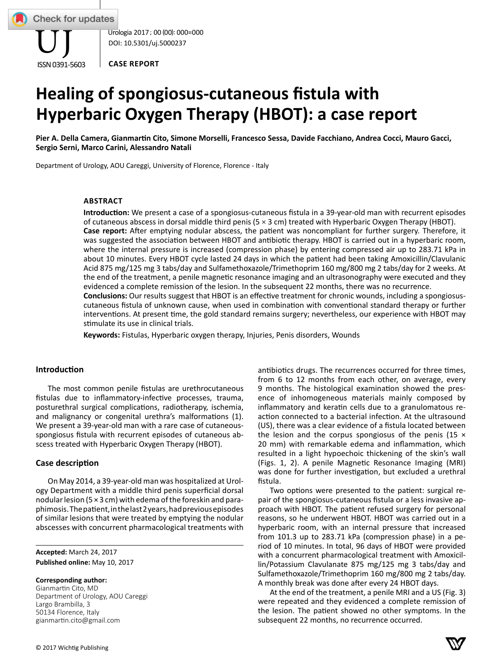

Urologia 2017 ; 00 (00): 000=000 DOI: 10.5301/uj.5000237

**CASE REPORT**

# **Healing of spongiosus-cutaneous fistula with hyperbaric Oxygen Therapy (HBOT): a case report**

**Pier A. Della Camera, Gianmartin Cito, Simone Morselli, Francesco Sessa, Davide Facchiano, Andrea Cocci, Mauro Gacci, Sergio Serni, Marco Carini, Alessandro Natali**

Department of Urology, AOU Careggi, University of Florence, Florence - Italy

# **ABSTrACT**

**Introduction:** We present a case of a spongiosus-cutaneous fistula in a 39-year-old man with recurrent episodes of cutaneous abscess in dorsal middle third penis (5 × 3 cm) treated with Hyperbaric Oxygen Therapy (HBOT). **Case report:** After emptying nodular abscess, the patient was noncompliant for further surgery. Therefore, it was suggested the association between HBOT and antibiotic therapy. HBOT is carried out in a hyperbaric room, where the internal pressure is increased (compression phase) by entering compressed air up to 283.71 kPa in about 10 minutes. Every HBOT cycle lasted 24 days in which the patient had been taking Amoxicillin/Clavulanic Acid 875 mg/125 mg 3 tabs/day and Sulfamethoxazole/Trimethoprim 160 mg/800 mg 2 tabs/day for 2 weeks. At the end of the treatment, a penile magnetic resonance imaging and an ultrasonography were executed and they evidenced a complete remission of the lesion. In the subsequent 22 months, there was no recurrence. **Conclusions:** Our results suggest that HBOT is an effective treatment for chronic wounds, including a spongiosuscutaneous fistula of unknown cause, when used in combination with conventional standard therapy or further

interventions. At present time, the gold standard remains surgery; nevertheless, our experience with HBOT may stimulate its use in clinical trials.

**Keywords:** Fistulas, Hyperbaric oxygen therapy, Injuries, Penis disorders, Wounds

## **Introduction**

The most common penile fistulas are urethrocutaneous fistulas due to inflammatory-infective processes, trauma, posturethral surgical complications, radiotherapy, ischemia, and malignancy or congenital urethra's malformations (1). We present a 39-year-old man with a rare case of cutaneousspongiosus fistula with recurrent episodes of cutaneous abscess treated with Hyperbaric Oxygen Therapy (HBOT).

## **Case description**

On May 2014, a 39-year-old man was hospitalized at Urology Department with a middle third penis superficial dorsal nodular lesion (5 × 3 cm) with edema of the foreskin and paraphimosis. The patient, in the last 2 years, had previous episodes of similar lesions that were treated by emptying the nodular abscesses with concurrent pharmacological treatments with

**Accepted:** March 24, 2017 **Published online:** May 10, 2017

#### **Corresponding author:**

Gianmartin Cito, MD Department of Urology, AOU Careggi Largo Brambilla, 3 50134 Florence, Italy gianmartin.cito@gmail.com

antibiotics drugs. The recurrences occurred for three times, from 6 to 12 months from each other, on average, every 9 months. The histological examination showed the presence of inhomogeneous materials mainly composed by inflammatory and keratin cells due to a granulomatous reaction connected to a bacterial infection. At the ultrasound (US), there was a clear evidence of a fistula located between the lesion and the corpus spongiosus of the penis (15  $\times$ 20 mm) with remarkable edema and inflammation, which resulted in a light hypoechoic thickening of the skin's wall (Figs. 1, 2). A penile Magnetic Resonance Imaging (MRI) was done for further investigation, but excluded a urethral fistula.

Two options were presented to the patient: surgical repair of the spongiosus-cutaneous fistula or a less invasive approach with HBOT. The patient refused surgery for personal reasons, so he underwent HBOT. HBOT was carried out in a hyperbaric room, with an internal pressure that increased from 101.3 up to 283.71 kPa (compression phase) in a period of 10 minutes. In total, 96 days of HBOT were provided with a concurrent pharmacological treatment with Amoxicillin/Potassium Clavulanate 875 mg/125 mg 3 tabs/day and S ulfamethoxazole/Trimethoprim 160 mg/800 mg 2 tabs/day. A monthly break was done after every 24 HBOT days.

At the end of the treatment, a penile MRI and a US (Fig. 3) were repeated and they evidenced a complete remission of the lesion. The patient showed no other symptoms. In the subsequent 22 months, no recurrence occurred.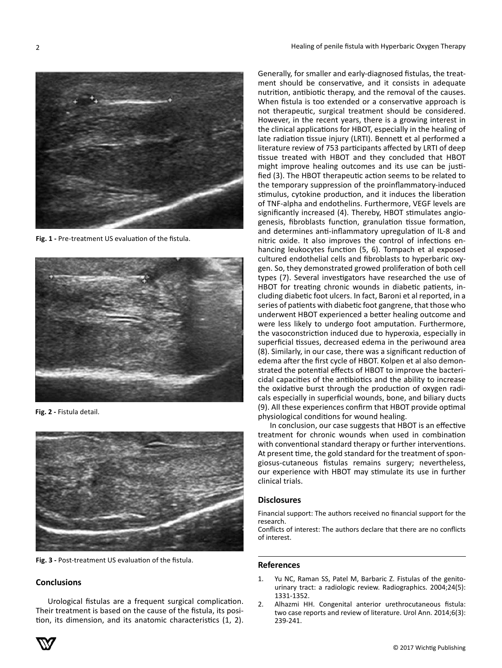

**Fig. 1 -** Pre-treatment US evaluation of the fistula.



**Fig. 2 -** Fistula detail.



**Fig. 3 -** Post-treatment US evaluation of the fistula.

# **Conclusions**

Urological fistulas are a frequent surgical complication. Their treatment is based on the cause of the fistula, its position, its dimension, and its anatomic characteristics (1, 2).



In conclusion, our case suggests that HBOT is an effective treatment for chronic wounds when used in combination with conventional standard therapy or further interventions. At present time, the gold standard for the treatment of spongiosus-cutaneous fistulas remains surgery; nevertheless, our experience with HBOT may stimulate its use in further clinical trials.

## **Disclosures**

Financial support: The authors received no financial support for the research.

Conflicts of interest: The authors declare that there are no conflicts of interest.

#### **References**

- 1. Yu NC, Raman SS, Patel M, Barbaric Z. Fistulas of the genitourinary tract: a radiologic review. Radiographics. 2004;24(5): 1331-1352.
- 2. Alhazmi HH. Congenital anterior urethrocutaneous fistula: two case reports and review of literature. Urol Ann. 2014;6(3): 239-241.